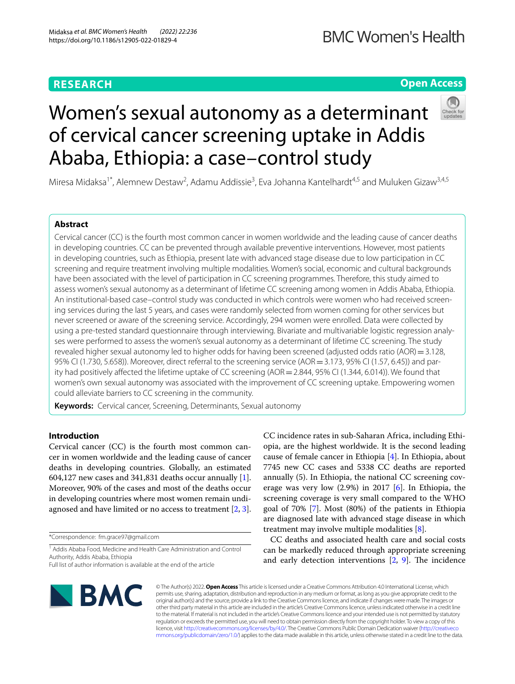# **RESEARCH**

# **BMC Women's Health**

# **Open Access**



# Women's sexual autonomy as a determinant of cervical cancer screening uptake in Addis Ababa, Ethiopia: a case–control study

Miresa Midaksa<sup>1\*</sup>, Alemnew Destaw<sup>2</sup>, Adamu Addissie<sup>3</sup>, Eva Johanna Kantelhardt<sup>4,5</sup> and Muluken Gizaw<sup>3,4,5</sup>

# **Abstract**

Cervical cancer (CC) is the fourth most common cancer in women worldwide and the leading cause of cancer deaths in developing countries. CC can be prevented through available preventive interventions. However, most patients in developing countries, such as Ethiopia, present late with advanced stage disease due to low participation in CC screening and require treatment involving multiple modalities. Women's social, economic and cultural backgrounds have been associated with the level of participation in CC screening programmes. Therefore, this study aimed to assess women's sexual autonomy as a determinant of lifetime CC screening among women in Addis Ababa, Ethiopia. An institutional-based case–control study was conducted in which controls were women who had received screening services during the last 5 years, and cases were randomly selected from women coming for other services but never screened or aware of the screening service. Accordingly, 294 women were enrolled. Data were collected by using a pre-tested standard questionnaire through interviewing. Bivariate and multivariable logistic regression analyses were performed to assess the women's sexual autonomy as a determinant of lifetime CC screening. The study revealed higher sexual autonomy led to higher odds for having been screened (adjusted odds ratio (AOR) =  $3.128$ , 95% CI (1.730, 5.658)). Moreover, direct referral to the screening service (AOR = 3.173, 95% CI (1.57, 6.45)) and parity had positively affected the lifetime uptake of CC screening (AOR = 2.844, 95% CI (1.344, 6.014)). We found that women's own sexual autonomy was associated with the improvement of CC screening uptake. Empowering women could alleviate barriers to CC screening in the community.

**Keywords:** Cervical cancer, Screening, Determinants, Sexual autonomy

# **Introduction**

Cervical cancer (CC) is the fourth most common cancer in women worldwide and the leading cause of cancer deaths in developing countries. Globally, an estimated 604,127 new cases and 341,831 deaths occur annually  $[1]$  $[1]$ . Moreover, 90% of the cases and most of the deaths occur in developing countries where most women remain undiagnosed and have limited or no access to treatment [[2,](#page-6-1) [3](#page-6-2)].

\*Correspondence: fm.grace97@gmail.com

<sup>1</sup> Addis Ababa Food, Medicine and Health Care Administration and Control Authority, Addis Ababa, Ethiopia

CC incidence rates in sub-Saharan Africa, including Ethiopia, are the highest worldwide. It is the second leading cause of female cancer in Ethiopia [\[4](#page-6-3)]. In Ethiopia, about 7745 new CC cases and 5338 CC deaths are reported annually (5). In Ethiopia, the national CC screening coverage was very low (2.9%) in 2017 [\[6\]](#page-6-4). In Ethiopia, the screening coverage is very small compared to the WHO goal of 70% [\[7](#page-6-5)]. Most (80%) of the patients in Ethiopia are diagnosed late with advanced stage disease in which treatment may involve multiple modalities [[8\]](#page-6-6).

CC deaths and associated health care and social costs can be markedly reduced through appropriate screening and early detection interventions  $[2, 9]$  $[2, 9]$  $[2, 9]$ . The incidence



© The Author(s) 2022. **Open Access** This article is licensed under a Creative Commons Attribution 4.0 International License, which permits use, sharing, adaptation, distribution and reproduction in any medium or format, as long as you give appropriate credit to the original author(s) and the source, provide a link to the Creative Commons licence, and indicate if changes were made. The images or other third party material in this article are included in the article's Creative Commons licence, unless indicated otherwise in a credit line to the material. If material is not included in the article's Creative Commons licence and your intended use is not permitted by statutory regulation or exceeds the permitted use, you will need to obtain permission directly from the copyright holder. To view a copy of this licence, visit [http://creativecommons.org/licenses/by/4.0/.](http://creativecommons.org/licenses/by/4.0/) The Creative Commons Public Domain Dedication waiver ([http://creativeco](http://creativecommons.org/publicdomain/zero/1.0/) [mmons.org/publicdomain/zero/1.0/](http://creativecommons.org/publicdomain/zero/1.0/)) applies to the data made available in this article, unless otherwise stated in a credit line to the data.

Full list of author information is available at the end of the article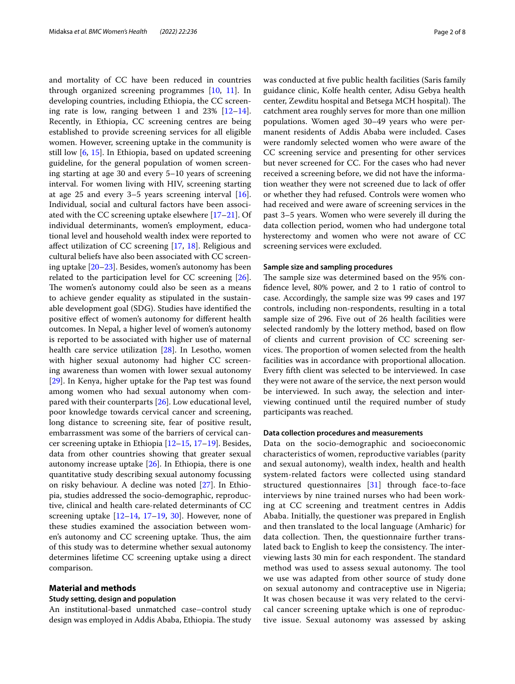and mortality of CC have been reduced in countries through organized screening programmes [\[10](#page-6-8), [11](#page-7-0)]. In developing countries, including Ethiopia, the CC screening rate is low, ranging between 1 and  $23\%$  [ $12-14$  $12-14$ ]. Recently, in Ethiopia, CC screening centres are being established to provide screening services for all eligible women. However, screening uptake in the community is still low [\[6](#page-6-4), [15](#page-7-3)]. In Ethiopia, based on updated screening guideline, for the general population of women screening starting at age 30 and every 5–10 years of screening interval. For women living with HIV, screening starting at age 25 and every 3–5 years screening interval [\[16](#page-7-4)]. Individual, social and cultural factors have been associated with the CC screening uptake elsewhere [\[17](#page-7-5)[–21](#page-7-6)]. Of individual determinants, women's employment, educational level and household wealth index were reported to afect utilization of CC screening [\[17,](#page-7-5) [18](#page-7-7)]. Religious and cultural beliefs have also been associated with CC screening uptake [[20–](#page-7-8)[23\]](#page-7-9). Besides, women's autonomy has been related to the participation level for CC screening [\[26](#page-7-10)]. The women's autonomy could also be seen as a means to achieve gender equality as stipulated in the sustainable development goal (SDG). Studies have identifed the positive efect of women's autonomy for diferent health outcomes. In Nepal, a higher level of women's autonomy is reported to be associated with higher use of maternal health care service utilization [\[28\]](#page-7-11). In Lesotho, women with higher sexual autonomy had higher CC screening awareness than women with lower sexual autonomy [[29\]](#page-7-12). In Kenya, higher uptake for the Pap test was found among women who had sexual autonomy when compared with their counterparts [\[26](#page-7-10)]. Low educational level, poor knowledge towards cervical cancer and screening, long distance to screening site, fear of positive result, embarrassment was some of the barriers of cervical cancer screening uptake in Ethiopia [[12](#page-7-1)[–15](#page-7-3), [17–](#page-7-5)[19\]](#page-7-13). Besides, data from other countries showing that greater sexual autonomy increase uptake  $[26]$  $[26]$ . In Ethiopia, there is one quantitative study describing sexual autonomy focussing on risky behaviour. A decline was noted [[27\]](#page-7-14). In Ethiopia, studies addressed the socio-demographic, reproductive, clinical and health care-related determinants of CC screening uptake  $[12-14, 17-19, 30]$  $[12-14, 17-19, 30]$  $[12-14, 17-19, 30]$  $[12-14, 17-19, 30]$  $[12-14, 17-19, 30]$  $[12-14, 17-19, 30]$  $[12-14, 17-19, 30]$  $[12-14, 17-19, 30]$ . However, none of these studies examined the association between women's autonomy and CC screening uptake. Thus, the aim of this study was to determine whether sexual autonomy determines lifetime CC screening uptake using a direct comparison.

# **Material and methods**

# **Study setting, design and population**

An institutional-based unmatched case–control study design was employed in Addis Ababa, Ethiopia. The study was conducted at fve public health facilities (Saris family guidance clinic, Kolfe health center, Adisu Gebya health center, Zewditu hospital and Betsega MCH hospital). The catchment area roughly serves for more than one million populations. Women aged 30–49 years who were permanent residents of Addis Ababa were included. Cases were randomly selected women who were aware of the CC screening service and presenting for other services but never screened for CC. For the cases who had never received a screening before, we did not have the information weather they were not screened due to lack of ofer or whether they had refused. Controls were women who had received and were aware of screening services in the past 3–5 years. Women who were severely ill during the data collection period, women who had undergone total hysterectomy and women who were not aware of CC screening services were excluded.

# **Sample size and sampling procedures**

The sample size was determined based on the 95% confdence level, 80% power, and 2 to 1 ratio of control to case. Accordingly, the sample size was 99 cases and 197 controls, including non-respondents, resulting in a total sample size of 296. Five out of 26 health facilities were selected randomly by the lottery method, based on flow of clients and current provision of CC screening services. The proportion of women selected from the health facilities was in accordance with proportional allocation. Every ffth client was selected to be interviewed. In case they were not aware of the service, the next person would be interviewed. In such away, the selection and interviewing continued until the required number of study participants was reached.

## **Data collection procedures and measurements**

Data on the socio-demographic and socioeconomic characteristics of women, reproductive variables (parity and sexual autonomy), wealth index, health and health system-related factors were collected using standard structured questionnaires [[31\]](#page-7-16) through face-to-face interviews by nine trained nurses who had been working at CC screening and treatment centres in Addis Ababa. Initially, the questioner was prepared in English and then translated to the local language (Amharic) for data collection. Then, the questionnaire further translated back to English to keep the consistency. The interviewing lasts 30 min for each respondent. The standard method was used to assess sexual autonomy. The tool we use was adapted from other source of study done on sexual autonomy and contraceptive use in Nigeria; It was chosen because it was very related to the cervical cancer screening uptake which is one of reproductive issue. Sexual autonomy was assessed by asking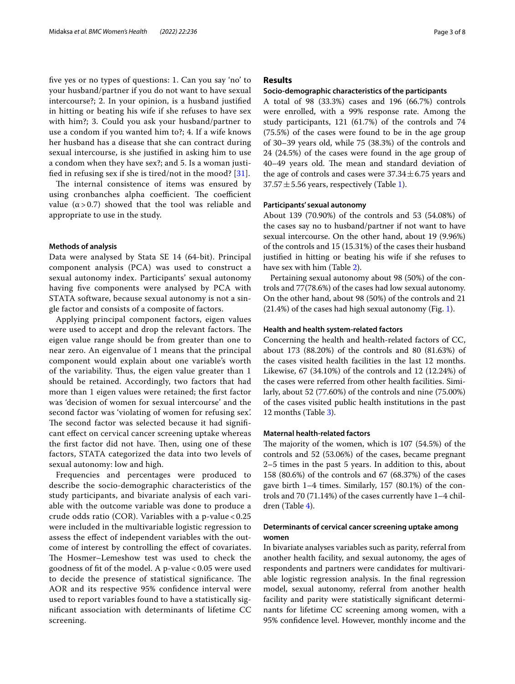fve yes or no types of questions: 1. Can you say 'no' to your husband/partner if you do not want to have sexual intercourse?; 2. In your opinion, is a husband justifed in hitting or beating his wife if she refuses to have sex with him?; 3. Could you ask your husband/partner to use a condom if you wanted him to?; 4. If a wife knows her husband has a disease that she can contract during sexual intercourse, is she justifed in asking him to use a condom when they have sex?; and 5. Is a woman justifed in refusing sex if she is tired/not in the mood? [[31\]](#page-7-16).

The internal consistence of items was ensured by using cronbanches alpha coefficient. The coefficient value ( $α > 0.7$ ) showed that the tool was reliable and appropriate to use in the study.

# **Methods of analysis**

Data were analysed by Stata SE 14 (64-bit). Principal component analysis (PCA) was used to construct a sexual autonomy index. Participants' sexual autonomy having five components were analysed by PCA with STATA software, because sexual autonomy is not a single factor and consists of a composite of factors.

Applying principal component factors, eigen values were used to accept and drop the relevant factors. The eigen value range should be from greater than one to near zero. An eigenvalue of 1 means that the principal component would explain about one variable's worth of the variability. Thus, the eigen value greater than 1 should be retained. Accordingly, two factors that had more than 1 eigen values were retained; the frst factor was 'decision of women for sexual intercourse' and the second factor was 'violating of women for refusing sex'. The second factor was selected because it had significant efect on cervical cancer screening uptake whereas the first factor did not have. Then, using one of these factors, STATA categorized the data into two levels of sexual autonomy: low and high.

Frequencies and percentages were produced to describe the socio-demographic characteristics of the study participants, and bivariate analysis of each variable with the outcome variable was done to produce a crude odds ratio (COR). Variables with a p-value < 0.25 were included in the multivariable logistic regression to assess the efect of independent variables with the outcome of interest by controlling the efect of covariates. The Hosmer–Lemeshow test was used to check the goodness of ft of the model. A p-value < 0.05 were used to decide the presence of statistical significance. The AOR and its respective 95% confidence interval were used to report variables found to have a statistically signifcant association with determinants of lifetime CC screening.

# **Results**

# **Socio‑demographic characteristics of the participants**

A total of 98 (33.3%) cases and 196 (66.7%) controls were enrolled, with a 99% response rate. Among the study participants, 121 (61.7%) of the controls and 74 (75.5%) of the cases were found to be in the age group of 30–39 years old, while 75 (38.3%) of the controls and 24 (24.5%) of the cases were found in the age group of 40–49 years old. The mean and standard deviation of the age of controls and cases were  $37.34 \pm 6.75$  years and  $37.57 \pm 5.56$  years, respectively (Table [1](#page-3-0)).

# **Participants' sexual autonomy**

About 139 (70.90%) of the controls and 53 (54.08%) of the cases say no to husband/partner if not want to have sexual intercourse. On the other hand, about 19 (9.96%) of the controls and 15 (15.31%) of the cases their husband justifed in hitting or beating his wife if she refuses to have sex with him (Table [2](#page-3-1)).

Pertaining sexual autonomy about 98 (50%) of the controls and 77(78.6%) of the cases had low sexual autonomy. On the other hand, about 98 (50%) of the controls and 21 (21.4%) of the cases had high sexual autonomy (Fig. [1\)](#page-4-0).

# **Health and health system‑related factors**

Concerning the health and health-related factors of CC, about 173 (88.20%) of the controls and 80 (81.63%) of the cases visited health facilities in the last 12 months. Likewise, 67 (34.10%) of the controls and 12 (12.24%) of the cases were referred from other health facilities. Similarly, about 52 (77.60%) of the controls and nine (75.00%) of the cases visited public health institutions in the past 12 months (Table [3](#page-4-1)).

# **Maternal health‑related factors**

The majority of the women, which is  $107$  (54.5%) of the controls and 52 (53.06%) of the cases, became pregnant 2–5 times in the past 5 years. In addition to this, about 158 (80.6%) of the controls and 67 (68.37%) of the cases gave birth 1–4 times. Similarly, 157 (80.1%) of the controls and 70 (71.14%) of the cases currently have 1–4 children (Table [4\)](#page-4-2).

# **Determinants of cervical cancer screening uptake among women**

In bivariate analyses variables such as parity, referral from another health facility, and sexual autonomy, the ages of respondents and partners were candidates for multivariable logistic regression analysis. In the fnal regression model, sexual autonomy, referral from another health facility and parity were statistically signifcant determinants for lifetime CC screening among women, with a 95% confdence level. However, monthly income and the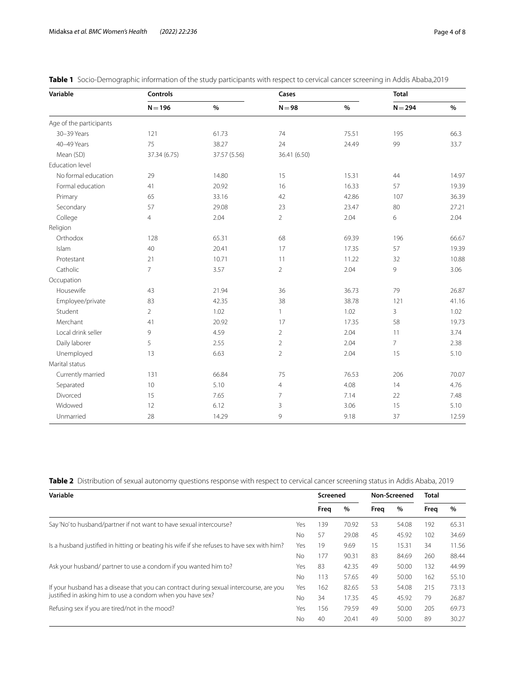| Variable                | <b>Controls</b> |              | Cases          |       | <b>Total</b>   |       |
|-------------------------|-----------------|--------------|----------------|-------|----------------|-------|
|                         | $N = 196$       | $\%$         | $N = 98$       | $\%$  | $N = 294$      | $\%$  |
| Age of the participants |                 |              |                |       |                |       |
| 30-39 Years             | 121             | 61.73        | 74             | 75.51 | 195            | 66.3  |
| 40-49 Years             | 75              | 38.27        | 24             | 24.49 | 99             | 33.7  |
| Mean (SD)               | 37.34 (6.75)    | 37.57 (5.56) | 36.41 (6.50)   |       |                |       |
| Education level         |                 |              |                |       |                |       |
| No formal education     | 29              | 14.80        | 15             | 15.31 | 44             | 14.97 |
| Formal education        | 41              | 20.92        | 16             | 16.33 | 57             | 19.39 |
| Primary                 | 65              | 33.16        | 42             | 42.86 | 107            | 36.39 |
| Secondary               | 57              | 29.08        | 23             | 23.47 | 80             | 27.21 |
| College                 | $\overline{4}$  | 2.04         | $\overline{2}$ | 2.04  | 6              | 2.04  |
| Religion                |                 |              |                |       |                |       |
| Orthodox                | 128             | 65.31        | 68             | 69.39 | 196            | 66.67 |
| Islam                   | 40              | 20.41        | 17             | 17.35 | 57             | 19.39 |
| Protestant              | 21              | 10.71        | 11             | 11.22 | 32             | 10.88 |
| Catholic                | $\overline{7}$  | 3.57         | $\overline{2}$ | 2.04  | 9              | 3.06  |
| Occupation              |                 |              |                |       |                |       |
| Housewife               | 43              | 21.94        | 36             | 36.73 | 79             | 26.87 |
| Employee/private        | 83              | 42.35        | 38             | 38.78 | 121            | 41.16 |
| Student                 | $\overline{2}$  | 1.02         | $\mathbf{1}$   | 1.02  | 3              | 1.02  |
| Merchant                | 41              | 20.92        | 17             | 17.35 | 58             | 19.73 |
| Local drink seller      | 9               | 4.59         | $\overline{2}$ | 2.04  | 11             | 3.74  |
| Daily laborer           | 5               | 2.55         | $\overline{2}$ | 2.04  | $\overline{7}$ | 2.38  |
| Unemployed              | 13              | 6.63         | $\overline{2}$ | 2.04  | 15             | 5.10  |
| Marital status          |                 |              |                |       |                |       |
| Currently married       | 131             | 66.84        | 75             | 76.53 | 206            | 70.07 |
| Separated               | 10              | 5.10         | $\overline{4}$ | 4.08  | 14             | 4.76  |
| Divorced                | 15              | 7.65         | $\overline{7}$ | 7.14  | 22             | 7.48  |
| Widowed                 | 12              | 6.12         | 3              | 3.06  | 15             | 5.10  |
| Unmarried               | 28              | 14.29        | 9              | 9.18  | 37             | 12.59 |

<span id="page-3-0"></span>**Table 1** Socio-Demographic information of the study participants with respect to cervical cancer screening in Addis Ababa,2019

<span id="page-3-1"></span>**Table 2** Distribution of sexual autonomy questions response with respect to cervical cancer screening status in Addis Ababa, 2019

| Variable                                                                                   |     | Screened |       | Non-Screened |       | <b>Total</b> |       |
|--------------------------------------------------------------------------------------------|-----|----------|-------|--------------|-------|--------------|-------|
|                                                                                            |     | Freg     | $\%$  | Freq         | $\%$  | Freg         | $\%$  |
| Say'No'to husband/partner if not want to have sexual intercourse?                          | Yes | 39       | 70.92 | 53           | 54.08 | 192          | 65.31 |
|                                                                                            | No  | 57       | 29.08 | 45           | 45.92 | 102          | 34.69 |
| Is a husband justified in hitting or beating his wife if she refuses to have sex with him? |     | 19       | 9.69  | 15           | 15.31 | 34           | 11.56 |
|                                                                                            |     | 177      | 90.31 | 83           | 84.69 | 260          | 88.44 |
| Ask your husband/ partner to use a condom if you wanted him to?                            |     | 83       | 42.35 | 49           | 50.00 | 132          | 44.99 |
|                                                                                            |     | 113      | 57.65 | 49           | 50.00 | 162          | 55.10 |
| If your husband has a disease that you can contract during sexual intercourse, are you     | Yes | 162      | 82.65 | 53           | 54.08 | 215          | 73.13 |
| justified in asking him to use a condom when you have sex?                                 | Nο  | 34       | 17.35 | 45           | 45.92 | 79           | 26.87 |
| Refusing sex if you are tired/not in the mood?                                             | Yes | 156      | 79.59 | 49           | 50.00 | 205          | 69.73 |
|                                                                                            | Nο  | 40       | 20.41 | 49           | 50.00 | 89           | 30.27 |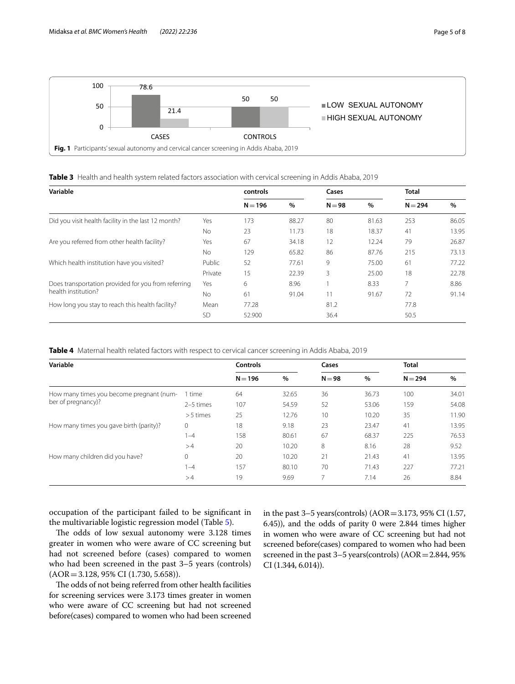

<span id="page-4-1"></span><span id="page-4-0"></span>

| Variable                                            | controls  |           | Cases |          | <b>Total</b> |           |       |
|-----------------------------------------------------|-----------|-----------|-------|----------|--------------|-----------|-------|
|                                                     |           | $N = 196$ | $\%$  | $N = 98$ | $\%$         | $N = 294$ | $\%$  |
| Did you visit health facility in the last 12 month? | Yes       | 173       | 88.27 | 80       | 81.63        | 253       | 86.05 |
|                                                     | No.       | 23        | 11.73 | 18       | 18.37        | 41        | 13.95 |
| Are you referred from other health facility?        | Yes       | 67        | 34.18 | 12       | 12.24        | 79        | 26.87 |
|                                                     | No.       | 129       | 65.82 | 86       | 87.76        | 215       | 73.13 |
| Which health institution have you visited?          | Public    | 52        | 77.61 | 9        | 75.00        | 61        | 77.22 |
|                                                     | Private   | 15        | 22.39 | 3        | 25.00        | 18        | 22.78 |
| Does transportation provided for you from referring | Yes       | 6         | 8.96  |          | 8.33         |           | 8.86  |
| health institution?                                 | No.       | 61        | 91.04 | 11       | 91.67        | 72        | 91.14 |
| How long you stay to reach this health facility?    | Mean      | 77.28     |       | 81.2     |              | 77.8      |       |
|                                                     | <b>SD</b> | 52.900    |       | 36.4     |              | 50.5      |       |

<span id="page-4-2"></span>**Table 4** Maternal health related factors with respect to cervical cancer screening in Addis Ababa, 2019

| Variable                                 | <b>Controls</b> |           | Cases |          | <b>Total</b> |           |       |
|------------------------------------------|-----------------|-----------|-------|----------|--------------|-----------|-------|
|                                          |                 | $N = 196$ | $\%$  | $N = 98$ | $\%$         | $N = 294$ | %     |
| How many times you become pregnant (num- | time            | 64        | 32.65 | 36       | 36.73        | 100       | 34.01 |
| ber of pregnancy)?                       | 2-5 times       | 107       | 54.59 | 52       | 53.06        | 159       | 54.08 |
|                                          | $> 5$ times     | 25        | 12.76 | 10       | 10.20        | 35        | 11.90 |
| How many times you gave birth (parity)?  | $\mathbf{0}$    | 18        | 9.18  | 23       | 23.47        | 41        | 13.95 |
|                                          | $1 - 4$         | 158       | 80.61 | 67       | 68.37        | 225       | 76.53 |
|                                          | >4              | 20        | 10.20 | 8        | 8.16         | 28        | 9.52  |
| How many children did you have?          | $\mathbf{0}$    | 20        | 10.20 | 21       | 21.43        | 41        | 13.95 |
|                                          | $ -4$           | 157       | 80.10 | 70       | 71.43        | 227       | 77.21 |
|                                          | >4              | 19        | 9.69  | 7        | 7.14         | 26        | 8.84  |

occupation of the participant failed to be signifcant in the multivariable logistic regression model (Table [5](#page-5-0)).

The odds of low sexual autonomy were 3.128 times greater in women who were aware of CC screening but had not screened before (cases) compared to women who had been screened in the past 3–5 years (controls) (AOR=3.128, 95% CI (1.730, 5.658)).

The odds of not being referred from other health facilities for screening services were 3.173 times greater in women who were aware of CC screening but had not screened before(cases) compared to women who had been screened in the past 3–5 years(controls) (AOR=3.173, 95% CI (1.57, 6.45)), and the odds of parity 0 were 2.844 times higher in women who were aware of CC screening but had not screened before(cases) compared to women who had been screened in the past 3–5 years(controls) (AOR=2.844, 95% CI (1.344, 6.014)).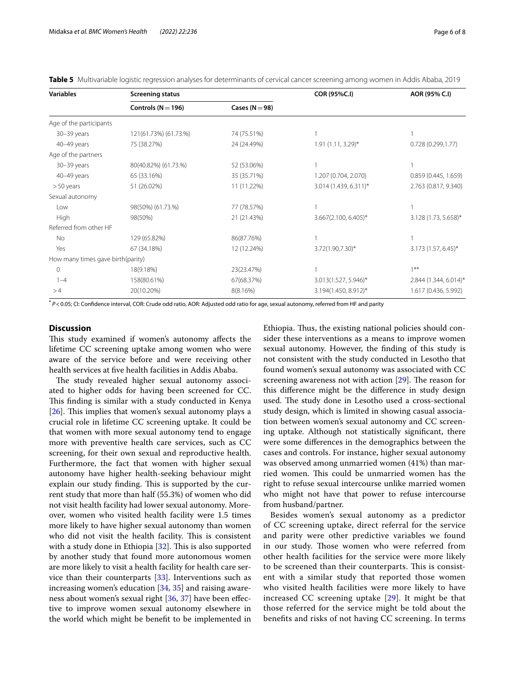<span id="page-5-0"></span>

|  |  |  |  |  |  |  | Table 5 Multivariable logistic regression analyses for determinants of cervical cancer screening among women in Addis Ababa, 2019 |  |  |  |  |
|--|--|--|--|--|--|--|-----------------------------------------------------------------------------------------------------------------------------------|--|--|--|--|
|--|--|--|--|--|--|--|-----------------------------------------------------------------------------------------------------------------------------------|--|--|--|--|

| <b>Variables</b>                  | <b>Screening status</b> |                    | COR (95%C.I)           | AOR (95% C.I)           |  |
|-----------------------------------|-------------------------|--------------------|------------------------|-------------------------|--|
|                                   | Controls ( $N = 196$ )  | Cases ( $N = 98$ ) |                        |                         |  |
| Age of the participants           |                         |                    |                        |                         |  |
| 30-39 years                       | 121(61.73%) (61.73.%)   | 74 (75.51%)        |                        |                         |  |
| 40-49 years                       | 75 (38.27%)             | 24 (24.49%)        | $1.91(1.11, 3.29)^{*}$ | 0.728(0.299, 1.77)      |  |
| Age of the partners               |                         |                    |                        |                         |  |
| 30-39 years                       | 80(40.82%) (61.73.%)    | 52 (53.06%)        |                        |                         |  |
| 40-49 years                       | 65 (33.16%)             | 35 (35.71%)        | 1.207 (0.704, 2.070)   | 0.859(0.445, 1.659)     |  |
| $>50$ years                       | 51 (26.02%)             | 11 (11.22%)        | 3.014 (1.439, 6.311)*  | 2.763 (0.817, 9.340)    |  |
| Sexual autonomy                   |                         |                    |                        |                         |  |
| Low                               | 98(50%) (61.73.%)       | 77 (78.57%)        |                        |                         |  |
| High                              | 98(50%)                 | 21 (21.43%)        | 3.667(2.100, 6.405)*   | 3.128 (1.73, 5.658)*    |  |
| Referred from other HF            |                         |                    |                        |                         |  |
| No                                | 129 (65.82%)            | 86(87.76%)         |                        |                         |  |
| Yes                               | 67 (34.18%)             | 12 (12.24%)        | $3.72(1.90, 7.30)^*$   | $3.173(1.57, 6.45)^{*}$ |  |
| How many times gave birth(parity) |                         |                    |                        |                         |  |
| $\mathbf{0}$                      | 18(9.18%)               | 23(23.47%)         |                        | $1***$                  |  |
| $1 - 4$                           | 158(80.61%)             | 67(68.37%)         | 3.013(1.527, 5.946)*   | 2.844 (1.344, 6.014)*   |  |
| >4                                | 20(10.20%)              | 8(8.16%)           | 3.194(1.450, 8.912)*   | 1.617 (0.436, 5.992)    |  |

**\*** *P*<0.05; CI: Confdence interval, COR: Crude odd ratio, AOR: Adjusted odd ratio for age, sexual autonomy, referred from HF and parity

# **Discussion**

This study examined if women's autonomy affects the lifetime CC screening uptake among women who were aware of the service before and were receiving other health services at fve health facilities in Addis Ababa.

The study revealed higher sexual autonomy associated to higher odds for having been screened for CC. This finding is similar with a study conducted in Kenya  $[26]$  $[26]$ . This implies that women's sexual autonomy plays a crucial role in lifetime CC screening uptake. It could be that women with more sexual autonomy tend to engage more with preventive health care services, such as CC screening, for their own sexual and reproductive health. Furthermore, the fact that women with higher sexual autonomy have higher health-seeking behaviour might explain our study finding. This is supported by the current study that more than half (55.3%) of women who did not visit health facility had lower sexual autonomy. Moreover, women who visited health facility were 1.5 times more likely to have higher sexual autonomy than women who did not visit the health facility. This is consistent with a study done in Ethiopia  $[32]$  $[32]$ . This is also supported by another study that found more autonomous women are more likely to visit a health facility for health care service than their counterparts [[33](#page-7-18)]. Interventions such as increasing women's education [\[34,](#page-7-19) [35\]](#page-7-20) and raising awareness about women's sexual right [[36,](#page-7-21) [37\]](#page-7-22) have been efective to improve women sexual autonomy elsewhere in the world which might be beneft to be implemented in Ethiopia. Thus, the existing national policies should consider these interventions as a means to improve women sexual autonomy. However, the fnding of this study is not consistent with the study conducted in Lesotho that found women's sexual autonomy was associated with CC screening awareness not with action  $[29]$  $[29]$ . The reason for this diference might be the diference in study design used. The study done in Lesotho used a cross-sectional study design, which is limited in showing casual association between women's sexual autonomy and CC screening uptake. Although not statistically signifcant, there were some diferences in the demographics between the cases and controls. For instance, higher sexual autonomy was observed among unmarried women (41%) than married women. This could be unmarried women has the right to refuse sexual intercourse unlike married women who might not have that power to refuse intercourse from husband/partner.

Besides women's sexual autonomy as a predictor of CC screening uptake, direct referral for the service and parity were other predictive variables we found in our study. Those women who were referred from other health facilities for the service were more likely to be screened than their counterparts. This is consistent with a similar study that reported those women who visited health facilities were more likely to have increased CC screening uptake [[29](#page-7-12)]. It might be that those referred for the service might be told about the benefts and risks of not having CC screening. In terms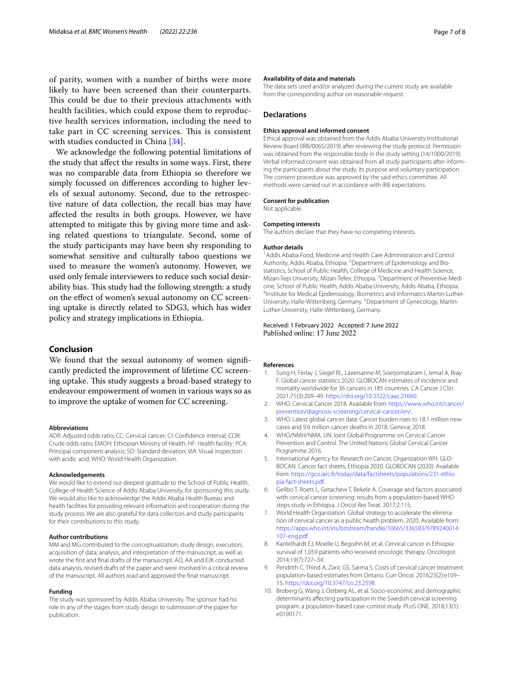of parity, women with a number of births were more likely to have been screened than their counterparts. This could be due to their previous attachments with health facilities, which could expose them to reproductive health services information, including the need to take part in CC screening services. This is consistent with studies conducted in China [[34\]](#page-7-19).

We acknowledge the following potential limitations of the study that afect the results in some ways. First, there was no comparable data from Ethiopia so therefore we simply focussed on diferences according to higher levels of sexual autonomy. Second, due to the retrospective nature of data collection, the recall bias may have afected the results in both groups. However, we have attempted to mitigate this by giving more time and asking related questions to triangulate. Second, some of the study participants may have been shy responding to somewhat sensitive and culturally taboo questions we used to measure the women's autonomy. However, we used only female interviewers to reduce such social desirability bias. This study had the following strength: a study on the efect of women's sexual autonomy on CC screening uptake is directly related to SDG3, which has wider policy and strategy implications in Ethiopia.

# **Conclusion**

We found that the sexual autonomy of women signifcantly predicted the improvement of lifetime CC screening uptake. This study suggests a broad-based strategy to endeavour empowerment of women in various ways so as to improve the uptake of women for CC screening.

# **Abbreviations**

AOR: Adjusted odds ratio; CC: Cervical cancer; CI: Confdence interval; COR: Crude odds ratio; EMOH: Ethiopian Ministry of Health; HF: Health facility; PCA: Principal component analysis; SD: Standard deviation; VIA: Visual inspection with acidic acid; WHO: World Health Organization.

#### **Acknowledgements**

We would like to extend our deepest gratitude to the School of Public Health, College of Health Science of Addis Ababa University, for sponsoring this study. We would also like to acknowledge the Addis Ababa Health Bureau and health facilities for providing relevant information and cooperation during the study process. We are also grateful for data collectors and study participants for their contributions to this study.

#### **Author contributions**

MM and MG contributed to the conceptualization, study design, execution, acquisition of data, analysis, and interpretation of the manuscript, as well as wrote the frst and fnal drafts of the manuscript. AD, AA and EJK conducted data analysis, revised drafts of the paper and were involved in a critical review of the manuscript. All authors read and approved the fnal manuscript.

#### **Funding**

The study was sponsored by Addis Ababa University. The sponsor had no role in any of the stages from study design to submission of the paper for publication.

#### **Availability of data and materials**

The data sets used and/or analyzed during the current study are available from the corresponding author on reasonable request.

#### **Declarations**

#### **Ethics approval and informed consent**

Ethical approval was obtained from the Addis Ababa University Institutional Review Board (IRB/0065/2019) after reviewing the study protocol. Permission was obtained from the responsible body in the study setting (14/1000/2019). Verbal informed consent was obtained from all study participants after informing the participants about the study, its purpose and voluntary participation. The consent procedure was approved by the said ethics committee. All methods were carried out in accordance with IRB expectations.

# **Consent for publication**

Not applicable.

#### **Competing interests**

The authors declare that they have no competing interests.

#### **Author details**

<sup>1</sup> Addis Ababa Food, Medicine and Health Care Administration and Control Authority, Addis Ababa, Ethiopia. <sup>2</sup> Department of Epidemiology and Biostatistics, School of Public Health, College of Medicine and Health Science, Mizan-Tepi University, Mizan-Teferi, Ethiopia.<sup>3</sup> Department of Preventive Medicine, School of Public Health, Addis Ababa University, Addis Ababa, Ethiopia. 4 <sup>4</sup>Institute for Medical Epidemiology, Biometrics and Informatics Martin-Luther-University, Halle-Wittenberg, Germany.<sup>5</sup> Department of Gynecology, Martin-Luther-University, Halle-Wittenberg, Germany.

# Received: 1 February 2022 Accepted: 7 June 2022

#### **References**

- <span id="page-6-0"></span>1. Sung H, Ferlay J, Siegel RL, Laversanne M, Soerjomataram I, Jemal A, Bray F. Global cancer statistics 2020: GLOBOCAN estimates of incidence and mortality worldwide for 36 cancers in 185 countries. CA Cancer J Clin. 2021;71(3):209–49. [https://doi.org/10.3322/caac.21660.](https://doi.org/10.3322/caac.21660)
- <span id="page-6-1"></span>2. WHO. Cervical Cancer 2018. Available from: [https://www.who.int/cancer/](https://www.who.int/cancer/prevention/diagnosis-screening/cervical-cancer/en/) [prevention/diagnosis-screening/cervical-cancer/en/.](https://www.who.int/cancer/prevention/diagnosis-screening/cervical-cancer/en/)
- <span id="page-6-2"></span>3. WHO. Latest global cancer data: Cancer burden rises to 18.1 million new cases and 9.6 million cancer deaths in 2018. Geneva; 2018.
- <span id="page-6-3"></span>4. WHO/NMH/NMA. UN Joint Global Programme on Cervical Cancer Prevention and Control. The United Nations Global Cervical Cancer Programme 2016.
- 5. International Agency for Research on Cancer, Organization WH. GLO-BOCAN. Cancer fact sheets, Ethiopia 2020. GLOBOCAN (2020). Available from: [https://gco.iarc.fr/today/data/factsheets/populations/231-ethio](https://gco.iarc.fr/today/data/factsheets/populations/231-ethiopia-fact-sheets.pdf) [pia-fact-sheets.pdf.](https://gco.iarc.fr/today/data/factsheets/populations/231-ethiopia-fact-sheets.pdf)
- <span id="page-6-4"></span>6. Gelibo T, Roets L, Getachew T, Bekele A. Coverage and factors associated with cervical cancer screening: results from a population-based WHO steps study in Ethiopia. J Oncol Res Treat. 2017;2:115.
- <span id="page-6-5"></span>7. World Health Organization. Global strategy to accelerate the elimination of cervical cancer as a public health problem. 2020. Available from: [https://apps.who.int/iris/bitstream/handle/10665/336583/9789240014](https://apps.who.int/iris/bitstream/handle/10665/336583/9789240014107-eng.pdf) [107-eng.pdf](https://apps.who.int/iris/bitstream/handle/10665/336583/9789240014107-eng.pdf)
- <span id="page-6-6"></span>8. Kantelhardt EJ, Moelle U, Begoihn M, et al. Cervical cancer in Ethiopia: survival of 1,059 patients who received oncologic therapy. Oncologist. 2014;19(7):727–34.
- <span id="page-6-7"></span>Pendrith C, Thind A, Zaric GS, Sarma S. Costs of cervical cancer treatment: population-based estimates from Ontario. Curr Oncol. 2016;23(2):e109– 15. [https://doi.org/10.3747/co.23.2598.](https://doi.org/10.3747/co.23.2598)
- <span id="page-6-8"></span>10. Broberg G, Wang J, Ostberg AL, et al. Socio-economic and demographic determinants afecting participation in the Swedish cervical screening program: a population-based case-control study. PLoS ONE. 2018;13(1): e0190171.